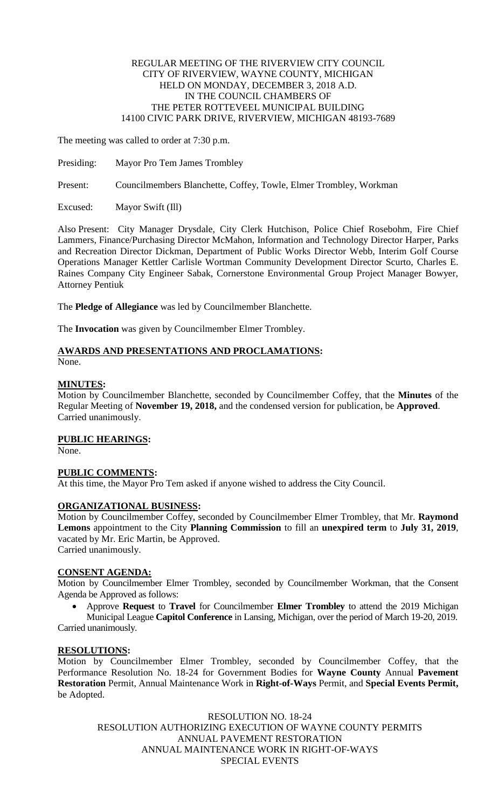### REGULAR MEETING OF THE RIVERVIEW CITY COUNCIL CITY OF RIVERVIEW, WAYNE COUNTY, MICHIGAN HELD ON MONDAY, DECEMBER 3, 2018 A.D. IN THE COUNCIL CHAMBERS OF THE PETER ROTTEVEEL MUNICIPAL BUILDING 14100 CIVIC PARK DRIVE, RIVERVIEW, MICHIGAN 48193-7689

The meeting was called to order at 7:30 p.m.

Presiding: Mayor Pro Tem James Trombley

Present: Councilmembers Blanchette, Coffey, Towle, Elmer Trombley, Workman

Excused: Mayor Swift (Ill)

Also Present: City Manager Drysdale, City Clerk Hutchison, Police Chief Rosebohm, Fire Chief Lammers, Finance/Purchasing Director McMahon, Information and Technology Director Harper, Parks and Recreation Director Dickman, Department of Public Works Director Webb, Interim Golf Course Operations Manager Kettler Carlisle Wortman Community Development Director Scurto, Charles E. Raines Company City Engineer Sabak, Cornerstone Environmental Group Project Manager Bowyer, Attorney Pentiuk

The **Pledge of Allegiance** was led by Councilmember Blanchette.

The **Invocation** was given by Councilmember Elmer Trombley.

#### **AWARDS AND PRESENTATIONS AND PROCLAMATIONS:** None.

#### **MINUTES:**

Motion by Councilmember Blanchette, seconded by Councilmember Coffey, that the **Minutes** of the Regular Meeting of **November 19, 2018,** and the condensed version for publication, be **Approved**. Carried unanimously.

## **PUBLIC HEARINGS:**

None.

## **PUBLIC COMMENTS:**

At this time, the Mayor Pro Tem asked if anyone wished to address the City Council.

# **ORGANIZATIONAL BUSINESS:**

Motion by Councilmember Coffey, seconded by Councilmember Elmer Trombley, that Mr. **Raymond Lemons** appointment to the City **Planning Commission** to fill an **unexpired term** to **July 31, 2019**, vacated by Mr. Eric Martin, be Approved. Carried unanimously.

#### **CONSENT AGENDA:**

Motion by Councilmember Elmer Trombley, seconded by Councilmember Workman, that the Consent Agenda be Approved as follows:

 Approve **Request** to **Travel** for Councilmember **Elmer Trombley** to attend the 2019 Michigan Municipal League **Capitol Conference** in Lansing, Michigan, over the period of March 19-20, 2019. Carried unanimously.

# **RESOLUTIONS:**

Motion by Councilmember Elmer Trombley, seconded by Councilmember Coffey, that the Performance Resolution No. 18-24 for Government Bodies for **Wayne County** Annual **Pavement Restoration** Permit, Annual Maintenance Work in **Right-of-Ways** Permit, and **Special Events Permit,** be Adopted.

RESOLUTION NO. 18-24 RESOLUTION AUTHORIZING EXECUTION OF WAYNE COUNTY PERMITS ANNUAL PAVEMENT RESTORATION ANNUAL MAINTENANCE WORK IN RIGHT-OF-WAYS SPECIAL EVENTS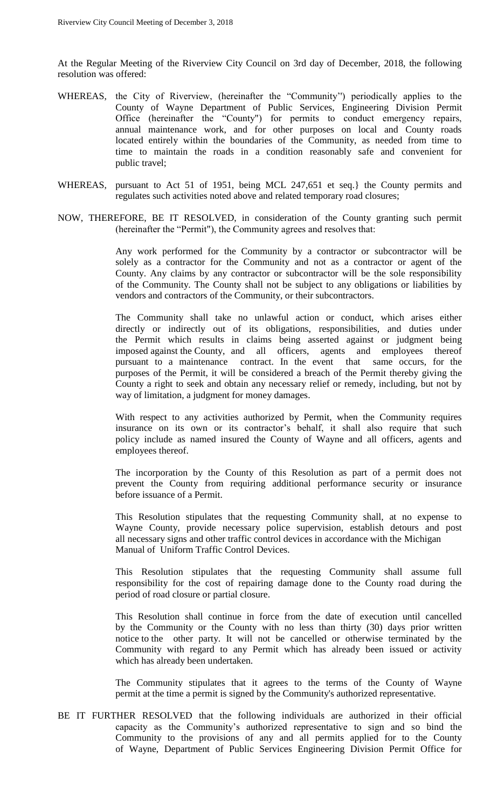At the Regular Meeting of the Riverview City Council on 3rd day of December, 2018, the following resolution was offered:

- WHEREAS, the City of Riverview, (hereinafter the "Community'') periodically applies to the County of Wayne Department of Public Services, Engineering Division Permit Office (hereinafter the "County") for permits to conduct emergency repairs, annual maintenance work, and for other purposes on local and County roads located entirely within the boundaries of the Community, as needed from time to time to maintain the roads in a condition reasonably safe and convenient for public travel;
- WHEREAS, pursuant to Act 51 of 1951, being MCL 247,651 et seq.} the County permits and regulates such activities noted above and related temporary road closures;
- NOW, THEREFORE, BE IT RESOLVED, in consideration of the County granting such permit (hereinafter the "Permit"), the Community agrees and resolves that:

Any work performed for the Community by a contractor or subcontractor will be solely as a contractor for the Community and not as a contractor or agent of the County. Any claims by any contractor or subcontractor will be the sole responsibility of the Community. The County shall not be subject to any obligations or liabilities by vendors and contractors of the Community, or their subcontractors.

The Community shall take no unlawful action or conduct, which arises either directly or indirectly out of its obligations, responsibilities, and duties under the Permit which results in claims being asserted against or judgment being imposed against the County, and all officers, agents and employees thereof pursuant to a maintenance contract. In the event that same occurs, for the purposes of the Permit, it will be considered a breach of the Permit thereby giving the County a right to seek and obtain any necessary relief or remedy, including, but not by way of limitation, a judgment for money damages.

With respect to any activities authorized by Permit, when the Community requires insurance on its own or its contractor's behalf, it shall also require that such policy include as named insured the County of Wayne and all officers, agents and employees thereof.

The incorporation by the County of this Resolution as part of a permit does not prevent the County from requiring additional performance security or insurance before issuance of a Permit.

This Resolution stipulates that the requesting Community shall, at no expense to Wayne County, provide necessary police supervision, establish detours and post all necessary signs and other traffic control devices in accordance with the Michigan Manual of Uniform Traffic Control Devices.

This Resolution stipulates that the requesting Community shall assume full responsibility for the cost of repairing damage done to the County road during the period of road closure or partial closure.

This Resolution shall continue in force from the date of execution until cancelled by the Community or the County with no less than thirty (30) days prior written notice to the other party. It will not be cancelled or otherwise terminated by the Community with regard to any Permit which has already been issued or activity which has already been undertaken.

The Community stipulates that it agrees to the terms of the County of Wayne permit at the time a permit is signed by the Community's authorized representative.

BE IT FURTHER RESOLVED that the following individuals are authorized in their official capacity as the Community's authorized representative to sign and so bind the Community to the provisions of any and all permits applied for to the County of Wayne, Department of Public Services Engineering Division Permit Office for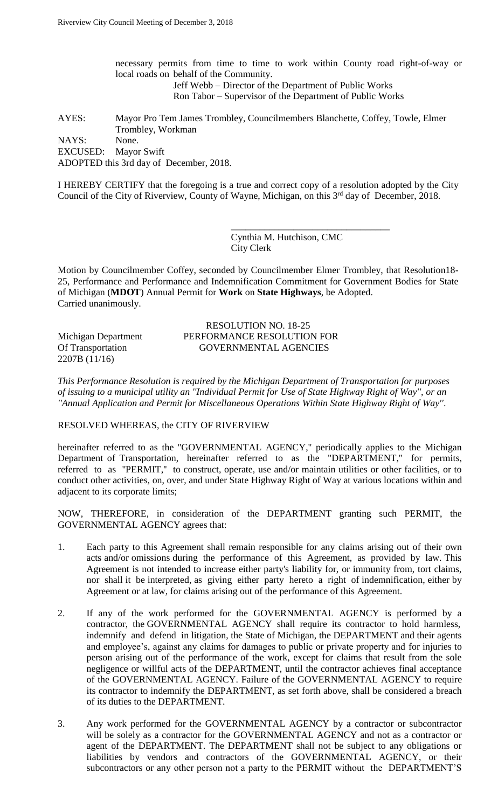necessary permits from time to time to work within County road right-of-way or local roads on behalf of the Community. Jeff Webb – Director of the Department of Public Works

Ron Tabor – Supervisor of the Department of Public Works

AYES: Mayor Pro Tem James Trombley, Councilmembers Blanchette, Coffey, Towle, Elmer Trombley, Workman NAYS: None. EXCUSED: Mayor Swift ADOPTED this 3rd day of December, 2018.

I HEREBY CERTIFY that the foregoing is a true and correct copy of a resolution adopted by the City Council of the City of Riverview, County of Wayne, Michigan, on this 3<sup>rd</sup> day of December, 2018.

> Cynthia M. Hutchison, CMC City Clerk

\_\_\_\_\_\_\_\_\_\_\_\_\_\_\_\_\_\_\_\_\_\_\_\_\_\_\_\_\_\_\_\_\_

Motion by Councilmember Coffey, seconded by Councilmember Elmer Trombley, that Resolution18- 25, Performance and Performance and Indemnification Commitment for Government Bodies for State of Michigan (**MDOT**) Annual Permit for **Work** on **State Highways**, be Adopted. Carried unanimously.

2207B (11/16)

# RESOLUTION NO. 18-25 Michigan Department PERFORMANCE RESOLUTION FOR Of Transportation GOVERNMENTAL AGENCIES

*This Performance Resolution is required by the Michigan Department of Transportation for purposes of issuing to a municipal utility an ''Individual Permit for Use of State Highway Right of Way'', or an ''Annual Application and Permit for Miscellaneous Operations Within State Highway Right of Way''*.

#### RESOLVED WHEREAS, the CITY OF RIVERVIEW

hereinafter referred to as the "GOVERNMENTAL AGENCY," periodically applies to the Michigan Department of Transportation, hereinafter referred to as the "DEPARTMENT," for permits, referred to as ''PERMIT,'' to construct, operate, use and/or maintain utilities or other facilities, or to conduct other activities, on, over, and under State Highway Right of Way at various locations within and adjacent to its corporate limits;

NOW, THEREFORE, in consideration of the DEPARTMENT granting such PERMIT, the GOVERNMENTAL AGENCY agrees that:

- 1. Each party to this Agreement shall remain responsible for any claims arising out of their own acts and/or omissions during the performance of this Agreement, as provided by law. This Agreement is not intended to increase either party's liability for, or immunity from, tort claims, nor shall it be interpreted, as giving either party hereto a right of indemnification, either by Agreement or at law, for claims arising out of the performance of this Agreement.
- 2. If any of the work performed for the GOVERNMENTAL AGENCY is performed by a contractor, the GOVERNMENTAL AGENCY shall require its contractor to hold harmless, indemnify and defend in litigation, the State of Michigan, the DEPARTMENT and their agents and employee's, against any claims for damages to public or private property and for injuries to person arising out of the performance of the work, except for claims that result from the sole negligence or willful acts of the DEPARTMENT, until the contractor achieves final acceptance of the GOVERNMENTAL AGENCY. Failure of the GOVERNMENTAL AGENCY to require its contractor to indemnify the DEPARTMENT, as set forth above, shall be considered a breach of its duties to the DEPARTMENT.
- 3. Any work performed for the GOVERNMENTAL AGENCY by a contractor or subcontractor will be solely as a contractor for the GOVERNMENTAL AGENCY and not as a contractor or agent of the DEPARTMENT. The DEPARTMENT shall not be subject to any obligations or liabilities by vendors and contractors of the GOVERNMENTAL AGENCY, or their subcontractors or any other person not a party to the PERMIT without the DEPARTMENT'S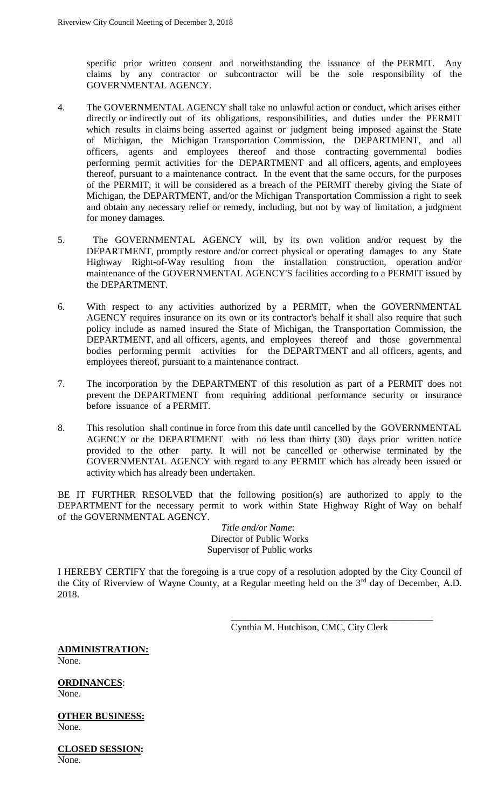specific prior written consent and notwithstanding the issuance of the PERMIT. Any claims by any contractor or subcontractor will be the sole responsibility of the GOVERNMENTAL AGENCY.

- 4. The GOVERNMENTAL AGENCY shall take no unlawful action or conduct, which arises either directly or indirectly out of its obligations, responsibilities, and duties under the PERMIT which results in claims being asserted against or judgment being imposed against the State of Michigan, the Michigan Transportation Commission, the DEPARTMENT, and all officers, agents and employees thereof and those contracting governmental bodies performing permit activities for the DEPARTMENT and all officers, agents, and employees thereof, pursuant to a maintenance contract. In the event that the same occurs, for the purposes of the PERMIT, it will be considered as a breach of the PERMIT thereby giving the State of Michigan, the DEPARTMENT, and/or the Michigan Transportation Commission a right to seek and obtain any necessary relief or remedy, including, but not by way of limitation, a judgment for money damages.
- 5. The GOVERNMENTAL AGENCY will, by its own volition and/or request by the DEPARTMENT, promptly restore and/or correct physical or operating damages to any State Highway Right-of-Way resulting from the installation construction, operation and/or maintenance of the GOVERNMENTAL AGENCY'S facilities according to a PERMIT issued by the DEPARTMENT.
- 6. With respect to any activities authorized by a PERMIT, when the GOVERNMENTAL AGENCY requires insurance on its own or its contractor's behalf it shall also require that such policy include as named insured the State of Michigan, the Transportation Commission, the DEPARTMENT, and all officers, agents, and employees thereof and those governmental bodies performing permit activities for the DEPARTMENT and all officers, agents, and employees thereof, pursuant to a maintenance contract.
- 7. The incorporation by the DEPARTMENT of this resolution as part of a PERMIT does not prevent the DEPARTMENT from requiring additional performance security or insurance before issuance of a PERMIT.
- 8. This resolution shall continue in force from this date until cancelled by the GOVERNMENTAL AGENCY or the DEPARTMENT with no less than thirty (30) days prior written notice provided to the other party. It will not be cancelled or otherwise terminated by the GOVERNMENTAL AGENCY with regard to any PERMIT which has already been issued or activity which has already been undertaken.

BE IT FURTHER RESOLVED that the following position(s) are authorized to apply to the DEPARTMENT for the necessary permit to work within State Highway Right of Way on behalf of the GOVERNMENTAL AGENCY.

> *Title and/or Name*: Director of Public Works Supervisor of Public works

I HEREBY CERTIFY that the foregoing is a true copy of a resolution adopted by the City Council of the City of Riverview of Wayne County, at a Regular meeting held on the  $3<sup>rd</sup>$  day of December, A.D. 2018.

> \_\_\_\_\_\_\_\_\_\_\_\_\_\_\_\_\_\_\_\_\_\_\_\_\_\_\_\_\_\_\_\_\_\_\_\_\_\_\_\_\_\_ Cynthia M. Hutchison, CMC, City Clerk

**ADMINISTRATION:** None.

**ORDINANCES**: None.

**OTHER BUSINESS:** None.

**CLOSED SESSION:** None.